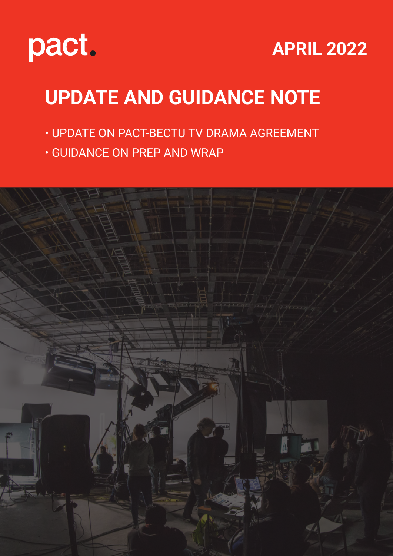

### **APRIL 2022**

## **UPDATE AND GUIDANCE NOTE**

- UPDATE ON PACT-BECTU TV DRAMA AGREEMENT
- GUIDANCE ON PREP AND WRAP

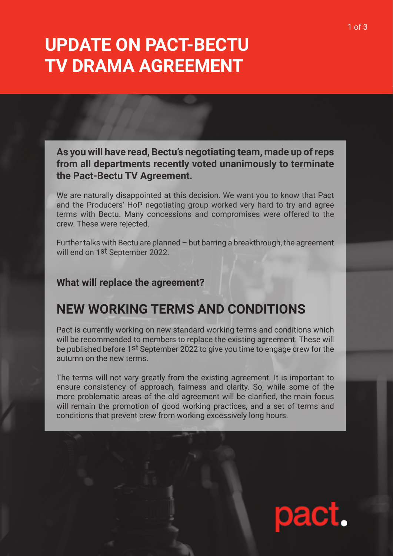### **UPDATE ON PACT-BECTU TV DRAMA AGREEMENT**

**As you will have read, Bectu's negotiating team, made up of reps from all departments recently voted unanimously to terminate the Pact-Bectu TV Agreement.**

We are naturally disappointed at this decision. We want you to know that Pact and the Producers' HoP negotiating group worked very hard to try and agree terms with Bectu. Many concessions and compromises were offered to the crew. These were rejected.

Further talks with Bectu are planned – but barring a breakthrough, the agreement will end on 1st September 2022.

#### **What will replace the agreement?**

### **NEW WORKING TERMS AND CONDITIONS**

Pact is currently working on new standard working terms and conditions which will be recommended to members to replace the existing agreement. These will be published before 1st September 2022 to give you time to engage crew for the autumn on the new terms.

The terms will not vary greatly from the existing agreement. It is important to ensure consistency of approach, fairness and clarity. So, while some of the more problematic areas of the old agreement will be clarified, the main focus will remain the promotion of good working practices, and a set of terms and conditions that prevent crew from working excessively long hours.

# pact.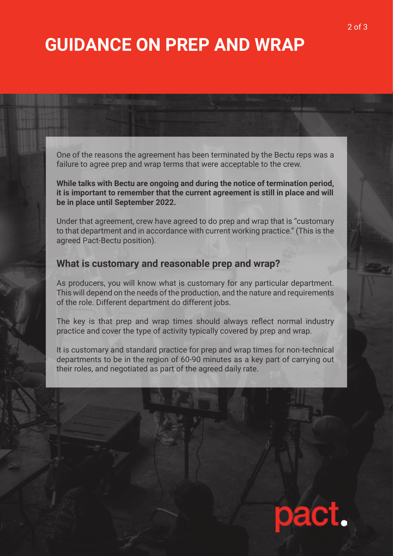### **GUIDANCE ON PREP AND WRAP**

One of the reasons the agreement has been terminated by the Bectu reps was a failure to agree prep and wrap terms that were acceptable to the crew.

**While talks with Bectu are ongoing and during the notice of termination period, it is important to remember that the current agreement is still in place and will be in place until September 2022.**

Under that agreement, crew have agreed to do prep and wrap that is "customary to that department and in accordance with current working practice." (This is the agreed Pact-Bectu position).

#### **What is customary and reasonable prep and wrap?**

As producers, you will know what is customary for any particular department. This will depend on the needs of the production, and the nature and requirements of the role. Different department do different jobs.

The key is that prep and wrap times should always reflect normal industry practice and cover the type of activity typically covered by prep and wrap.

It is customary and standard practice for prep and wrap times for non-technical departments to be in the region of 60-90 minutes as a key part of carrying out their roles, and negotiated as part of the agreed daily rate.